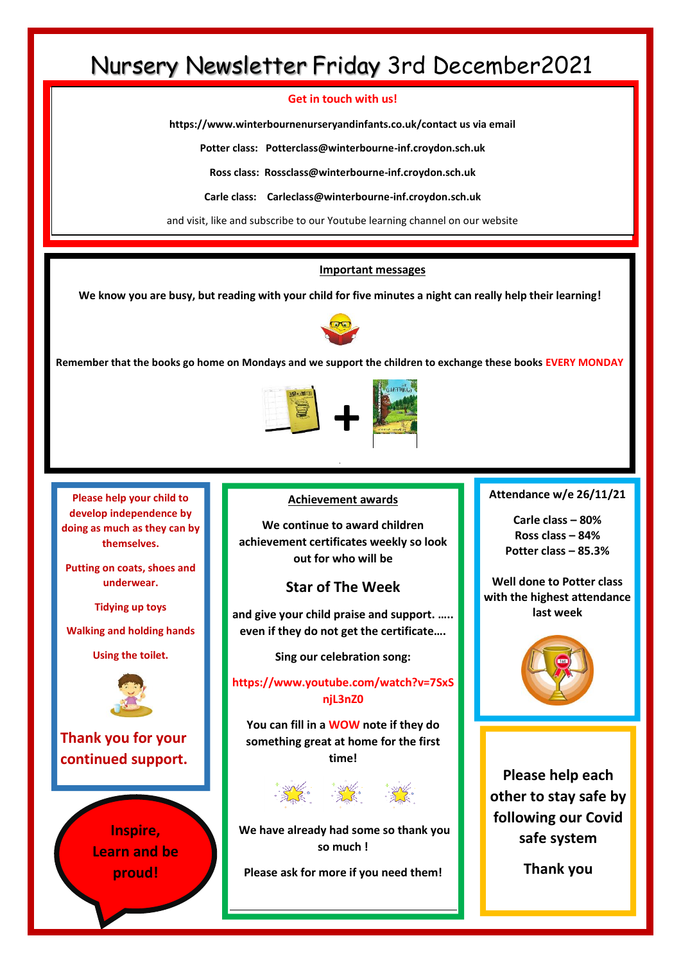## Nursery Newsletter Friday 3rd December2021

#### **Get in touch with us!**

**https://www.winterbournenurseryandinfants.co.uk/contact us via email**

**Potter class: Potterclass@winterbourne-inf.croydon.sch.uk**

**Ross class: Rossclass@winterbourne-inf.croydon.sch.uk**

**Carle class: Carleclass@winterbourne-inf.croydon.sch.uk**

and visit, like and subscribe to our Youtube learning channel on our website

#### **Important messages**

**We know you are busy, but reading with your child for five minutes a night can really help their learning!**



**Remember that the books go home on Mondays and we support the children to exchange these books EVERY MONDAY**



**Please help your child to develop independence by doing as much as they can by themselves.** 

**Putting on coats, shoes and underwear.**

**Tidying up toys**

**Walking and holding hands** 

**Using the toilet.**



**Thank you for your continued support.**

> **Inspire, Learn and be proud!**

**Achievement awards**

**We continue to award children achievement certificates weekly so look out for who will be**

### **Star of The Week**

**and give your child praise and support. ….. even if they do not get the certificate….** 

**Sing our celebration song:**

**https://www.youtube.com/watch?v=7SxS njL3nZ0**

**You can fill in a WOW note if they do something great at home for the first time!** 



**We have already had some so thank you so much !** 

**Please ask for more if you need them!**

**Attendance w/e 26/11/21**

**Carle class – 80% Ross class – 84% Potter class – 85.3%**

**Well done to Potter class with the highest attendance last week**



**Please help each other to stay safe by following our Covid safe system**

**Thank you**